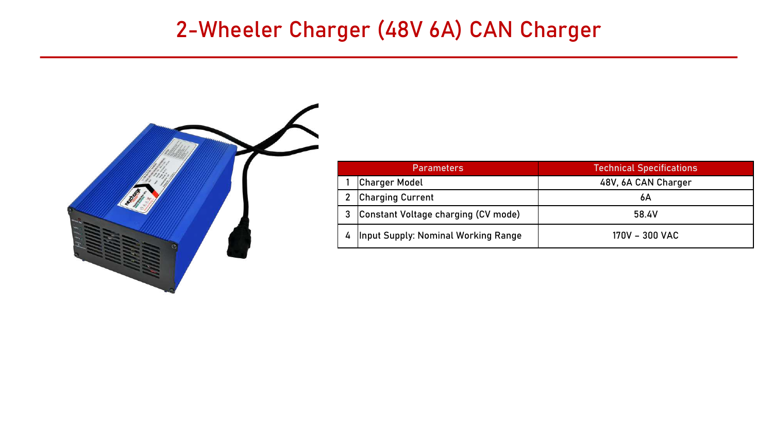### 2-Wheeler Charger (48V 6A) CAN Charger



| <b>Parameters</b> |                                            | <b>Technical Specifications</b> |
|-------------------|--------------------------------------------|---------------------------------|
|                   | <b>Charger Model</b>                       | 48V, 6A CAN Charger             |
|                   | <b>Charging Current</b>                    | 6А                              |
|                   | Constant Voltage charging (CV mode)        | 58.4V                           |
| 4                 | <b>Input Supply: Nominal Working Range</b> | 170V - 300 VAC                  |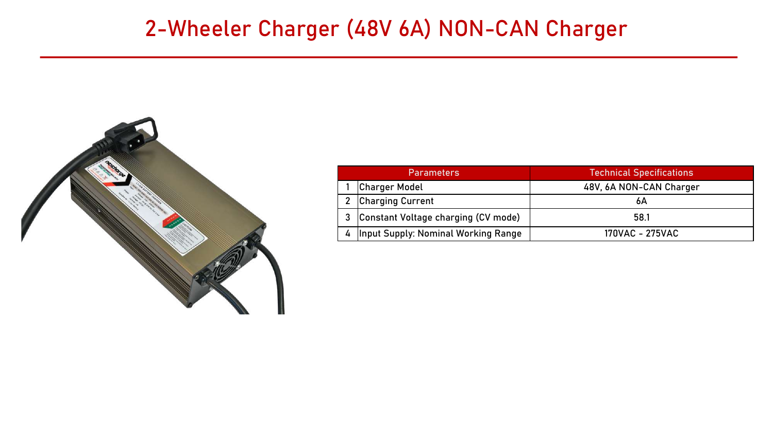#### 2-Wheeler Charger (48V 6A) NON-CAN Charger



| <b>Parameters</b>                          | <b>Technical Specifications</b> |
|--------------------------------------------|---------------------------------|
| <b>Charger Model</b>                       | 48V, 6A NON-CAN Charger         |
| <b>Charging Current</b>                    | 6А                              |
| Constant Voltage charging (CV mode)        | 58.1                            |
| <b>Input Supply: Nominal Working Range</b> | 170VAC - 275VAC                 |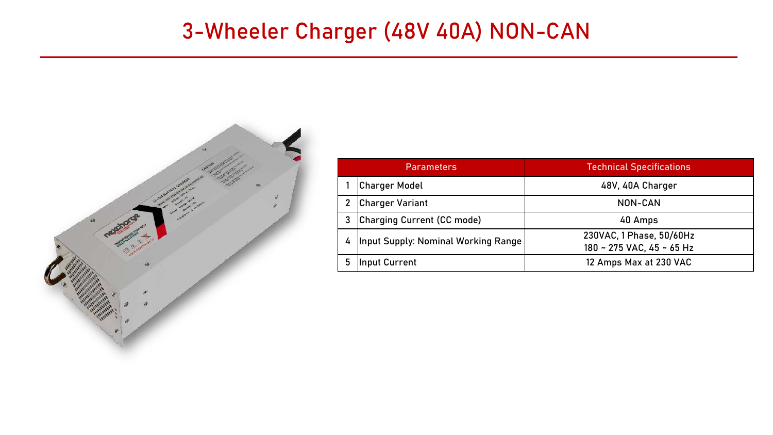# 3-Wheeler Charger (48V 40A) NON-CAN



| <b>Parameters</b> |                                     | <b>Technical Specifications</b>                       |
|-------------------|-------------------------------------|-------------------------------------------------------|
|                   | <b>Charger Model</b>                | 48V, 40A Charger                                      |
| $2^{\circ}$       | <b>Charger Variant</b>              | NON-CAN                                               |
| 3                 | Charging Current (CC mode)          | 40 Amps                                               |
| $\overline{4}$    | Input Supply: Nominal Working Range | 230VAC, 1 Phase, 50/60Hz<br>180 ~ 275 VAC, 45 ~ 65 Hz |
| 5                 | Input Current                       | 12 Amps Max at 230 VAC                                |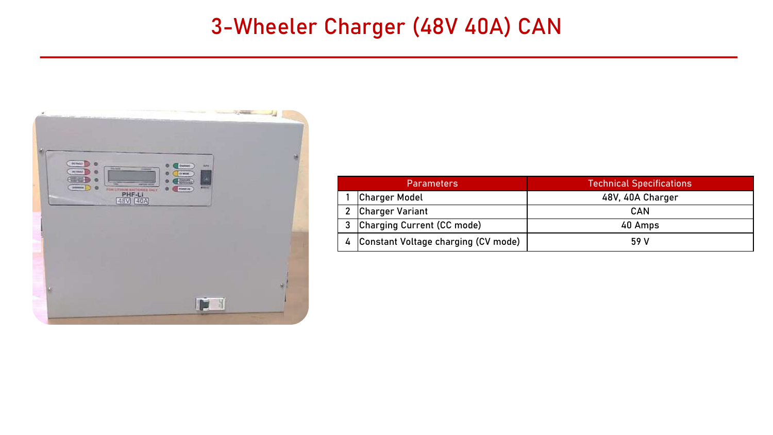### 3-Wheeler Charger (48V 40A) CAN

| <b>Comma</b><br>s                                                                                                                                                                                                                        | ايك |
|------------------------------------------------------------------------------------------------------------------------------------------------------------------------------------------------------------------------------------------|-----|
| actual?<br>$\bullet$<br>$E = 3$<br>Arts:<br><b>The Second</b><br><b>Transport</b><br><b>At head</b><br><b>OCHILE</b><br>o<br><b>CEED</b><br>ø<br>歌詞<br><b>Sec</b><br><b>PROBATION</b><br><b>SHIMMER</b><br>-<br>PHF-LI<br>PERMIT OR<br>o |     |
|                                                                                                                                                                                                                                          |     |
| E                                                                                                                                                                                                                                        |     |

| <b>Parameters</b>                     | <b>Technical Specifications</b> |
|---------------------------------------|---------------------------------|
| Charger Model                         | 48V, 40A Charger                |
| 2 Charger Variant                     | CAN                             |
| 3 Charging Current (CC mode)          | 40 Amps                         |
| 4 Constant Voltage charging (CV mode) | 59 V                            |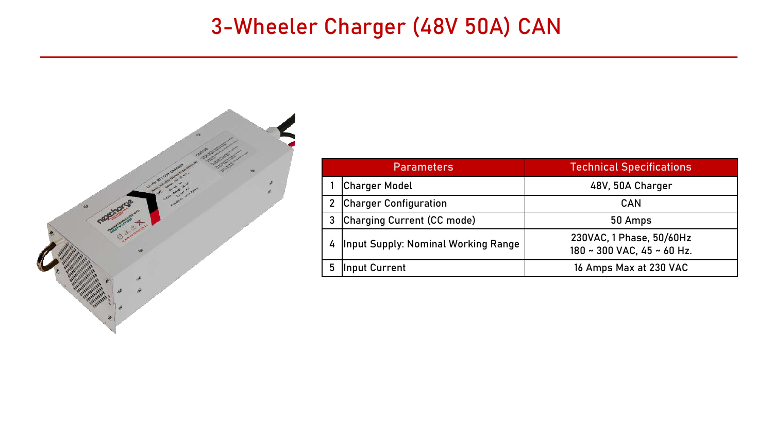## 3-Wheeler Charger (48V 50A) CAN



|                | <b>Parameters</b>                   | <b>Technical Specifications</b>                        |
|----------------|-------------------------------------|--------------------------------------------------------|
|                | <b>Charger Model</b>                | 48V, 50A Charger                                       |
| $\overline{2}$ | <b>Charger Configuration</b>        | <b>CAN</b>                                             |
| 3              | Charging Current (CC mode)          | 50 Amps                                                |
| 4              | Input Supply: Nominal Working Range | 230VAC, 1 Phase, 50/60Hz<br>180 ~ 300 VAC, 45 ~ 60 Hz. |
|                | Input Current                       | 16 Amps Max at 230 VAC                                 |